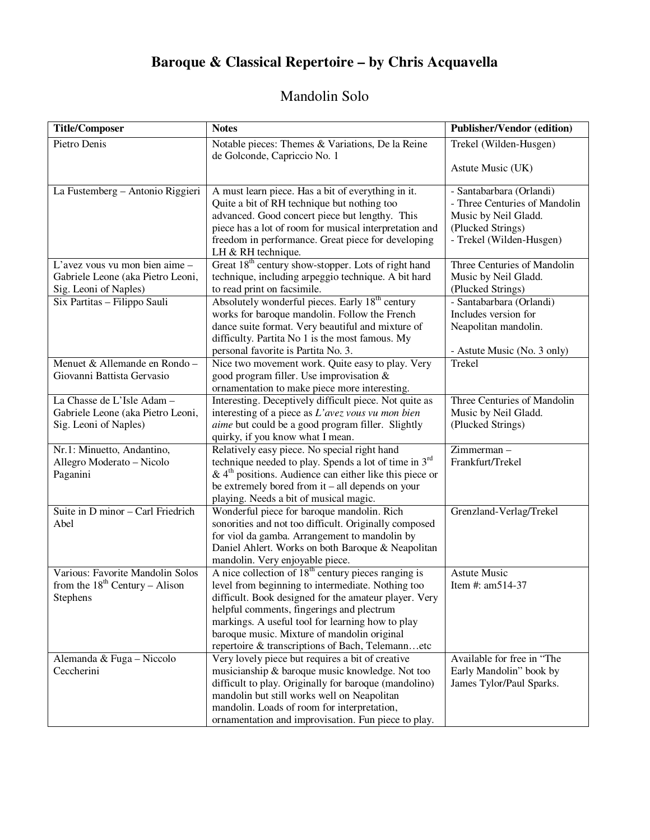# **Baroque & Classical Repertoire – by Chris Acquavella**

## Mandolin Solo

| <b>Title/Composer</b>             | <b>Notes</b>                                                                                        | <b>Publisher/Vendor (edition)</b> |
|-----------------------------------|-----------------------------------------------------------------------------------------------------|-----------------------------------|
| Pietro Denis                      | Notable pieces: Themes & Variations, De la Reine<br>de Golconde, Capriccio No. 1                    | Trekel (Wilden-Husgen)            |
|                                   |                                                                                                     | Astute Music (UK)                 |
| La Fustemberg - Antonio Riggieri  | A must learn piece. Has a bit of everything in it.                                                  | - Santabarbara (Orlandi)          |
|                                   | Quite a bit of RH technique but nothing too                                                         | - Three Centuries of Mandolin     |
|                                   | advanced. Good concert piece but lengthy. This                                                      | Music by Neil Gladd.              |
|                                   | piece has a lot of room for musical interpretation and                                              | (Plucked Strings)                 |
|                                   | freedom in performance. Great piece for developing<br>LH & RH technique.                            | - Trekel (Wilden-Husgen)          |
| L'avez vous vu mon bien aime -    | Great 18 <sup>th</sup> century show-stopper. Lots of right hand                                     | Three Centuries of Mandolin       |
| Gabriele Leone (aka Pietro Leoni, | technique, including arpeggio technique. A bit hard                                                 | Music by Neil Gladd.              |
| Sig. Leoni of Naples)             | to read print on facsimile.                                                                         | (Plucked Strings)                 |
| Six Partitas - Filippo Sauli      | Absolutely wonderful pieces. Early 18 <sup>th</sup> century                                         | - Santabarbara (Orlandi)          |
|                                   | works for baroque mandolin. Follow the French                                                       | Includes version for              |
|                                   | dance suite format. Very beautiful and mixture of                                                   | Neapolitan mandolin.              |
|                                   | difficulty. Partita No 1 is the most famous. My                                                     |                                   |
|                                   | personal favorite is Partita No. 3.                                                                 | - Astute Music (No. 3 only)       |
| Menuet & Allemande en Rondo-      | Nice two movement work. Quite easy to play. Very                                                    | Trekel                            |
| Giovanni Battista Gervasio        | good program filler. Use improvisation &                                                            |                                   |
|                                   | ornamentation to make piece more interesting.                                                       |                                   |
| La Chasse de L'Isle Adam -        | Interesting. Deceptively difficult piece. Not quite as                                              | Three Centuries of Mandolin       |
| Gabriele Leone (aka Pietro Leoni, | interesting of a piece as L'avez vous vu mon bien                                                   | Music by Neil Gladd.              |
| Sig. Leoni of Naples)             | aime but could be a good program filler. Slightly                                                   | (Plucked Strings)                 |
|                                   | quirky, if you know what I mean.                                                                    |                                   |
| Nr.1: Minuetto, Andantino,        | Relatively easy piece. No special right hand                                                        | Zimmerman-                        |
| Allegro Moderato - Nicolo         | technique needed to play. Spends a lot of time in 3rd                                               | Frankfurt/Trekel                  |
| Paganini                          | $\&$ 4 <sup>th</sup> positions. Audience can either like this piece or                              |                                   |
|                                   | be extremely bored from it – all depends on your                                                    |                                   |
| Suite in D minor - Carl Friedrich | playing. Needs a bit of musical magic.                                                              |                                   |
| Abel                              | Wonderful piece for baroque mandolin. Rich<br>sonorities and not too difficult. Originally composed | Grenzland-Verlag/Trekel           |
|                                   | for viol da gamba. Arrangement to mandolin by                                                       |                                   |
|                                   | Daniel Ahlert. Works on both Baroque & Neapolitan                                                   |                                   |
|                                   | mandolin. Very enjoyable piece.                                                                     |                                   |
| Various: Favorite Mandolin Solos  | A nice collection of $18th$ century pieces ranging is                                               | <b>Astute Music</b>               |
| from the $18th$ Century – Alison  | level from beginning to intermediate. Nothing too                                                   | Item #: am514-37                  |
| <b>Stephens</b>                   | difficult. Book designed for the amateur player. Very                                               |                                   |
|                                   | helpful comments, fingerings and plectrum                                                           |                                   |
|                                   | markings. A useful tool for learning how to play                                                    |                                   |
|                                   | baroque music. Mixture of mandolin original                                                         |                                   |
|                                   | repertoire & transcriptions of Bach, Telemannetc                                                    |                                   |
| Alemanda & Fuga - Niccolo         | Very lovely piece but requires a bit of creative                                                    | Available for free in "The        |
| Ceccherini                        | musicianship & baroque music knowledge. Not too                                                     | Early Mandolin" book by           |
|                                   | difficult to play. Originally for baroque (mandolino)                                               | James Tylor/Paul Sparks.          |
|                                   | mandolin but still works well on Neapolitan                                                         |                                   |
|                                   | mandolin. Loads of room for interpretation,                                                         |                                   |
|                                   | ornamentation and improvisation. Fun piece to play.                                                 |                                   |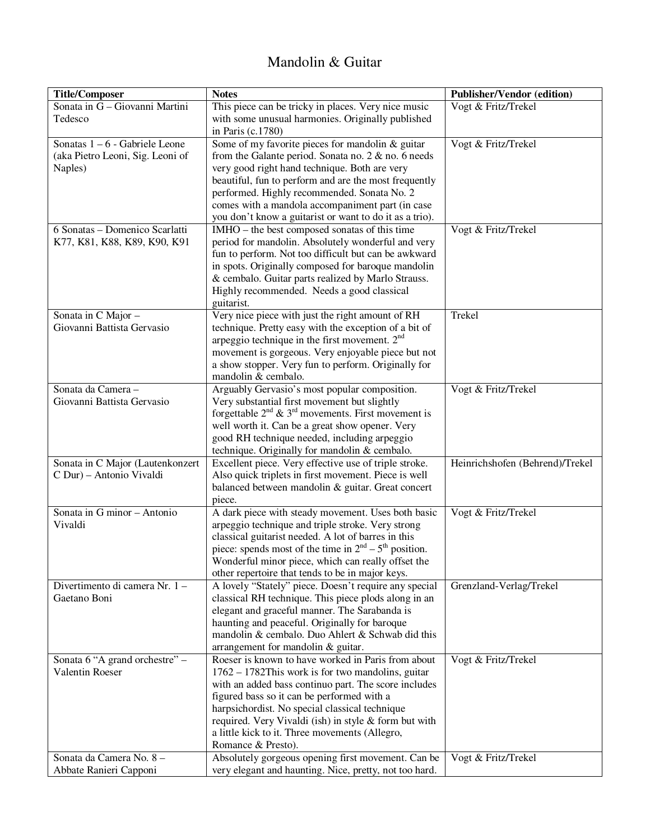### Mandolin & Guitar

| Sonata in G - Giovanni Martini<br>This piece can be tricky in places. Very nice music<br>Vogt & Fritz/Trekel<br>Tedesco<br>with some unusual harmonies. Originally published<br>in Paris (c.1780) |  |
|---------------------------------------------------------------------------------------------------------------------------------------------------------------------------------------------------|--|
|                                                                                                                                                                                                   |  |
|                                                                                                                                                                                                   |  |
|                                                                                                                                                                                                   |  |
| Sonatas 1 – 6 - Gabriele Leone<br>Some of my favorite pieces for mandolin & guitar<br>Vogt & Fritz/Trekel                                                                                         |  |
| (aka Pietro Leoni, Sig. Leoni of<br>from the Galante period. Sonata no. $2 \&$ no. 6 needs                                                                                                        |  |
| very good right hand technique. Both are very<br>Naples)                                                                                                                                          |  |
| beautiful, fun to perform and are the most frequently                                                                                                                                             |  |
| performed. Highly recommended. Sonata No. 2                                                                                                                                                       |  |
| comes with a mandola accompaniment part (in case                                                                                                                                                  |  |
| you don't know a guitarist or want to do it as a trio).                                                                                                                                           |  |
| 6 Sonatas - Domenico Scarlatti<br>IMHO – the best composed sonatas of this time<br>Vogt & Fritz/Trekel                                                                                            |  |
| K77, K81, K88, K89, K90, K91<br>period for mandolin. Absolutely wonderful and very                                                                                                                |  |
| fun to perform. Not too difficult but can be awkward                                                                                                                                              |  |
| in spots. Originally composed for baroque mandolin                                                                                                                                                |  |
| & cembalo. Guitar parts realized by Marlo Strauss.                                                                                                                                                |  |
| Highly recommended. Needs a good classical                                                                                                                                                        |  |
| guitarist.                                                                                                                                                                                        |  |
| Very nice piece with just the right amount of RH<br>Sonata in C Major -<br>Trekel                                                                                                                 |  |
| Giovanni Battista Gervasio<br>technique. Pretty easy with the exception of a bit of                                                                                                               |  |
| arpeggio technique in the first movement. 2 <sup>nd</sup>                                                                                                                                         |  |
| movement is gorgeous. Very enjoyable piece but not                                                                                                                                                |  |
| a show stopper. Very fun to perform. Originally for                                                                                                                                               |  |
| mandolin & cembalo.                                                                                                                                                                               |  |
| Arguably Gervasio's most popular composition.<br>Vogt & Fritz/Trekel<br>Sonata da Camera -                                                                                                        |  |
| Very substantial first movement but slightly<br>Giovanni Battista Gervasio                                                                                                                        |  |
| forgettable $2^{nd}$ & $3^{rd}$ movements. First movement is                                                                                                                                      |  |
| well worth it. Can be a great show opener. Very                                                                                                                                                   |  |
| good RH technique needed, including arpeggio                                                                                                                                                      |  |
| technique. Originally for mandolin & cembalo.                                                                                                                                                     |  |
| Heinrichshofen (Behrend)/Trekel<br>Sonata in C Major (Lautenkonzert<br>Excellent piece. Very effective use of triple stroke.                                                                      |  |
| C Dur) - Antonio Vivaldi<br>Also quick triplets in first movement. Piece is well                                                                                                                  |  |
| balanced between mandolin & guitar. Great concert                                                                                                                                                 |  |
| piece.                                                                                                                                                                                            |  |
| Vogt & Fritz/Trekel<br>Sonata in G minor - Antonio<br>A dark piece with steady movement. Uses both basic                                                                                          |  |
| Vivaldi<br>arpeggio technique and triple stroke. Very strong                                                                                                                                      |  |
| classical guitarist needed. A lot of barres in this                                                                                                                                               |  |
| piece: spends most of the time in $2nd - 5th$ position.                                                                                                                                           |  |
| Wonderful minor piece, which can really offset the                                                                                                                                                |  |
| other repertoire that tends to be in major keys.                                                                                                                                                  |  |
| Divertimento di camera Nr. 1-<br>A lovely "Stately" piece. Doesn't require any special<br>Grenzland-Verlag/Trekel                                                                                 |  |
| Gaetano Boni<br>classical RH technique. This piece plods along in an                                                                                                                              |  |
| elegant and graceful manner. The Sarabanda is                                                                                                                                                     |  |
| haunting and peaceful. Originally for baroque                                                                                                                                                     |  |
| mandolin & cembalo. Duo Ahlert & Schwab did this                                                                                                                                                  |  |
| arrangement for mandolin & guitar.                                                                                                                                                                |  |
| Sonata 6 "A grand orchestre" -<br>Roeser is known to have worked in Paris from about<br>Vogt & Fritz/Trekel                                                                                       |  |
| Valentin Roeser<br>$1762 - 1782$ This work is for two mandolins, guitar                                                                                                                           |  |
| with an added bass continuo part. The score includes                                                                                                                                              |  |
| figured bass so it can be performed with a                                                                                                                                                        |  |
| harpsichordist. No special classical technique                                                                                                                                                    |  |
| required. Very Vivaldi (ish) in style & form but with                                                                                                                                             |  |
| a little kick to it. Three movements (Allegro,                                                                                                                                                    |  |
| Romance & Presto).                                                                                                                                                                                |  |
| Sonata da Camera No. 8 -<br>Absolutely gorgeous opening first movement. Can be<br>Vogt & Fritz/Trekel                                                                                             |  |
| very elegant and haunting. Nice, pretty, not too hard.<br>Abbate Ranieri Capponi                                                                                                                  |  |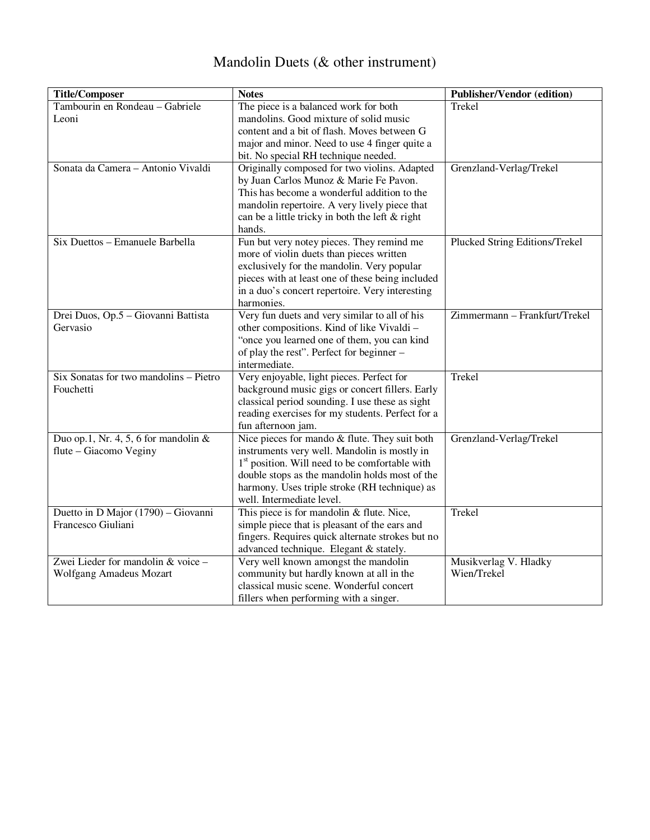## Mandolin Duets (& other instrument)

| <b>Title/Composer</b>                   | <b>Notes</b>                                               | <b>Publisher/Vendor (edition)</b> |
|-----------------------------------------|------------------------------------------------------------|-----------------------------------|
| Tambourin en Rondeau - Gabriele         | The piece is a balanced work for both                      | Trekel                            |
| Leoni                                   | mandolins. Good mixture of solid music                     |                                   |
|                                         | content and a bit of flash. Moves between G                |                                   |
|                                         | major and minor. Need to use 4 finger quite a              |                                   |
|                                         | bit. No special RH technique needed.                       |                                   |
| Sonata da Camera - Antonio Vivaldi      | Originally composed for two violins. Adapted               | Grenzland-Verlag/Trekel           |
|                                         | by Juan Carlos Munoz & Marie Fe Pavon.                     |                                   |
|                                         | This has become a wonderful addition to the                |                                   |
|                                         | mandolin repertoire. A very lively piece that              |                                   |
|                                         | can be a little tricky in both the left & right            |                                   |
|                                         | hands.                                                     |                                   |
| Six Duettos - Emanuele Barbella         | Fun but very notey pieces. They remind me                  | Plucked String Editions/Trekel    |
|                                         | more of violin duets than pieces written                   |                                   |
|                                         | exclusively for the mandolin. Very popular                 |                                   |
|                                         | pieces with at least one of these being included           |                                   |
|                                         | in a duo's concert repertoire. Very interesting            |                                   |
|                                         | harmonies.                                                 |                                   |
| Drei Duos, Op.5 - Giovanni Battista     | Very fun duets and very similar to all of his              | Zimmermann - Frankfurt/Trekel     |
| Gervasio                                | other compositions. Kind of like Vivaldi-                  |                                   |
|                                         | "once you learned one of them, you can kind                |                                   |
|                                         | of play the rest". Perfect for beginner -                  |                                   |
|                                         | intermediate.                                              |                                   |
| Six Sonatas for two mandolins - Pietro  | Very enjoyable, light pieces. Perfect for                  | Trekel                            |
| Fouchetti                               | background music gigs or concert fillers. Early            |                                   |
|                                         | classical period sounding. I use these as sight            |                                   |
|                                         | reading exercises for my students. Perfect for a           |                                   |
|                                         | fun afternoon jam.                                         |                                   |
| Duo op.1, Nr. 4, 5, 6 for mandolin $\&$ | Nice pieces for mando & flute. They suit both              | Grenzland-Verlag/Trekel           |
| flute - Giacomo Veginy                  | instruments very well. Mandolin is mostly in               |                                   |
|                                         | 1 <sup>st</sup> position. Will need to be comfortable with |                                   |
|                                         | double stops as the mandolin holds most of the             |                                   |
|                                         | harmony. Uses triple stroke (RH technique) as              |                                   |
|                                         | well. Intermediate level.                                  |                                   |
| Duetto in D Major (1790) - Giovanni     | This piece is for mandolin & flute. Nice,                  | Trekel                            |
| Francesco Giuliani                      | simple piece that is pleasant of the ears and              |                                   |
|                                         | fingers. Requires quick alternate strokes but no           |                                   |
|                                         | advanced technique. Elegant & stately.                     |                                   |
| Zwei Lieder for mandolin & voice -      | Very well known amongst the mandolin                       | Musikverlag V. Hladky             |
| Wolfgang Amadeus Mozart                 | community but hardly known at all in the                   | Wien/Trekel                       |
|                                         | classical music scene. Wonderful concert                   |                                   |
|                                         | fillers when performing with a singer.                     |                                   |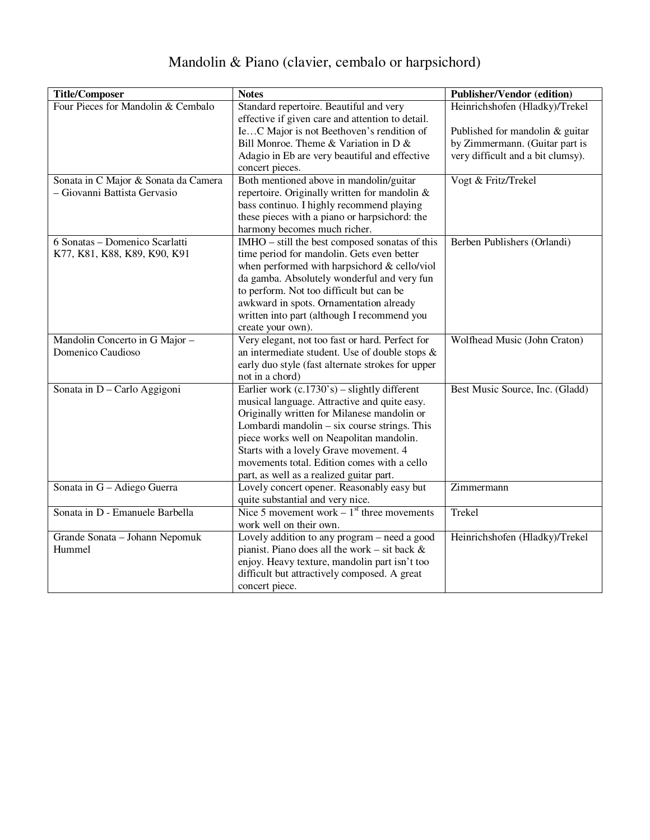# Mandolin & Piano (clavier, cembalo or harpsichord)

| <b>Title/Composer</b>                | <b>Notes</b>                                            | <b>Publisher/Vendor (edition)</b> |
|--------------------------------------|---------------------------------------------------------|-----------------------------------|
| Four Pieces for Mandolin & Cembalo   | Standard repertoire. Beautiful and very                 | Heinrichshofen (Hladky)/Trekel    |
|                                      | effective if given care and attention to detail.        |                                   |
|                                      | IeC Major is not Beethoven's rendition of               | Published for mandolin & guitar   |
|                                      | Bill Monroe. Theme & Variation in D &                   | by Zimmermann. (Guitar part is    |
|                                      | Adagio in Eb are very beautiful and effective           | very difficult and a bit clumsy). |
|                                      | concert pieces.                                         |                                   |
| Sonata in C Major & Sonata da Camera | Both mentioned above in mandolin/guitar                 | Vogt & Fritz/Trekel               |
| - Giovanni Battista Gervasio         | repertoire. Originally written for mandolin &           |                                   |
|                                      | bass continuo. I highly recommend playing               |                                   |
|                                      | these pieces with a piano or harpsichord: the           |                                   |
|                                      | harmony becomes much richer.                            |                                   |
| 6 Sonatas - Domenico Scarlatti       | IMHO - still the best composed sonatas of this          | Berben Publishers (Orlandi)       |
| K77, K81, K88, K89, K90, K91         | time period for mandolin. Gets even better              |                                   |
|                                      | when performed with harpsichord & cello/viol            |                                   |
|                                      | da gamba. Absolutely wonderful and very fun             |                                   |
|                                      | to perform. Not too difficult but can be                |                                   |
|                                      | awkward in spots. Ornamentation already                 |                                   |
|                                      | written into part (although I recommend you             |                                   |
|                                      | create your own).                                       |                                   |
| Mandolin Concerto in G Major -       | Very elegant, not too fast or hard. Perfect for         | Wolfhead Music (John Craton)      |
| Domenico Caudioso                    | an intermediate student. Use of double stops $\&$       |                                   |
|                                      | early duo style (fast alternate strokes for upper       |                                   |
|                                      | not in a chord)                                         |                                   |
| Sonata in D - Carlo Aggigoni         | Earlier work $(c.1730's)$ – slightly different          | Best Music Source, Inc. (Gladd)   |
|                                      | musical language. Attractive and quite easy.            |                                   |
|                                      | Originally written for Milanese mandolin or             |                                   |
|                                      | Lombardi mandolin – six course strings. This            |                                   |
|                                      | piece works well on Neapolitan mandolin.                |                                   |
|                                      | Starts with a lovely Grave movement. 4                  |                                   |
|                                      | movements total. Edition comes with a cello             |                                   |
|                                      | part, as well as a realized guitar part.                |                                   |
| Sonata in G - Adiego Guerra          | Lovely concert opener. Reasonably easy but              | Zimmermann                        |
|                                      | quite substantial and very nice.                        |                                   |
| Sonata in D - Emanuele Barbella      | Nice 5 movement work $-1$ <sup>st</sup> three movements | Trekel                            |
|                                      | work well on their own.                                 |                                   |
| Grande Sonata - Johann Nepomuk       | Lovely addition to any program - need a good            | Heinrichshofen (Hladky)/Trekel    |
| Hummel                               | pianist. Piano does all the work – sit back $\&$        |                                   |
|                                      | enjoy. Heavy texture, mandolin part isn't too           |                                   |
|                                      | difficult but attractively composed. A great            |                                   |
|                                      | concert piece.                                          |                                   |